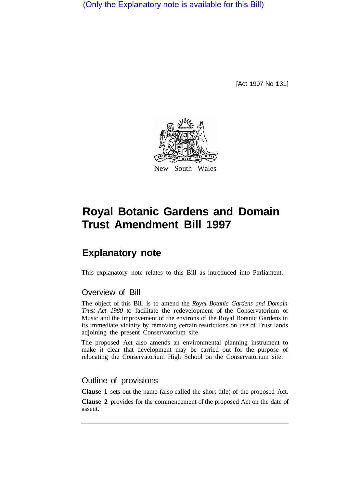(Only the Explanatory note is available for this Bill)

[Act 1997 No 131]



# **Royal Botanic Gardens and Domain Trust Amendment Bill 1997**

# **Explanatory note**

This explanatory note relates to this Bill as introduced into Parliament.

## Overview of Bill

The object of this Bill is to amend the *Royal Botanic Gardens and Domain Trust Act 1980* to facilitate the redevelopment of the Conservatorium of Music and the improvement of the environs of the Royal Botanic Gardens in its immediate vicinity by removing certain restrictions on use of Trust lands adjoining the present Conservatorium site.

The proposed Act also amends an environmental planning instrument to make it clear that development may be carried out for the purpose of relocating the Conservatorium High School on the Conservatorium site.

### Outline of provisions

**Clause 1** sets out the name (also called the short title) of the proposed Act.

**Clause 2** provides for the commencement of the proposed Act on the date of assent.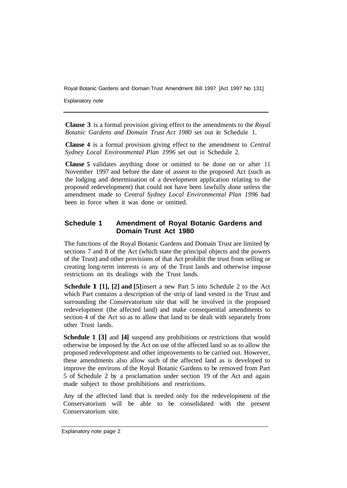Royal Botanic Gardens and Domain Trust Amendment Bill 1997 [Act 1997 No 131]

Explanatory note

**Clause 3** is a formal provision giving effect to the amendments to the *Royal Botanic Gardens and Domain Trust Act 1980* set out in Schedule 1.

**Clause 4** is a formal provision giving effect to the amendment to *Central Sydney Local Environmental Plan 1996* set out in Schedule 2.

**Clause 5** validates anything done or omitted to be done on or after 11 November 1997 and before the date of assent to the proposed Act (such as the lodging and determination of a development application relating to the proposed redevelopment) that could not have been lawfully done unless the amendment made to *Central Sydney Local Environmental Plan 1996* had been in force when it was done or omitted.

#### **Schedule 1 Amendment of Royal Botanic Gardens and Domain Trust Act 1980**

The functions of the Royal Botanic Gardens and Domain Trust are limited by sections 7 and 8 of the Act (which state the principal objects and the powers of the Trust) and other provisions of that Act prohibit the trust from selling or creating long-term interests in any of the Trust lands and otherwise impose restrictions on its dealings with the Trust lands.

**Schedule 1 [1], [2] and [5]**insert a new Part 5 into Schedule 2 to the Act which Part contains a description of the strip of land vested in the Trust and surrounding the Conservatorium site that will be involved in the proposed redevelopment (the affected land) and make consequential amendments to section 4 of the Act so as to allow that land to be dealt with separately from other Trust lands.

**Schedule 1 [3]** and **[4]** suspend any prohibitions or restrictions that would otherwise be imposed by the Act on use of the affected land so as to allow the proposed redevelopment and other improvements to be carried out. However, these amendments also allow such of the affected land as is developed to improve the environs of the Royal Botanic Gardens to be removed from Part 5 of Schedule 2 by a proclamation under section 19 of the Act and again made subject to those prohibitions and restrictions.

Any of the affected land that is needed only for the redevelopment of the Conservatorium will be able to be consolidated with the present Conservatorium site.